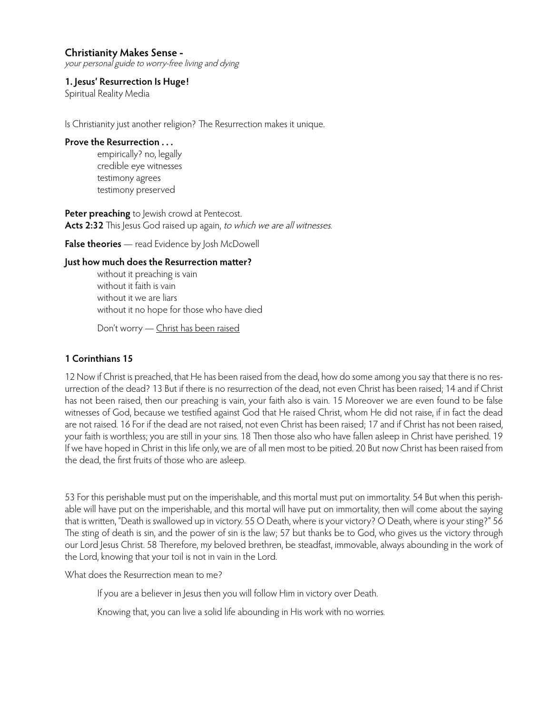your personal guide to worry-free living and dying

**1. Jesus' Resurrection Is Huge!**

Spiritual Reality Media

Is Christianity just another religion? The Resurrection makes it unique.

#### **Prove the Resurrection . . .**

empirically? no, legally credible eye witnesses testimony agrees testimony preserved

**Peter preaching** to Jewish crowd at Pentecost. Acts 2:32 This Jesus God raised up again, to which we are all witnesses.

**False theories** — read Evidence by Josh McDowell

#### **Just how much does the Resurrection matter?**

without it preaching is vain without it faith is vain without it we are liars without it no hope for those who have died

Don't worry — Christ has been raised

## **1 Corinthians 15**

12 Now if Christ is preached, that He has been raised from the dead, how do some among you say that there is no resurrection of the dead? 13 But if there is no resurrection of the dead, not even Christ has been raised; 14 and if Christ has not been raised, then our preaching is vain, your faith also is vain. 15 Moreover we are even found to be false witnesses of God, because we testified against God that He raised Christ, whom He did not raise, if in fact the dead are not raised. 16 For if the dead are not raised, not even Christ has been raised; 17 and if Christ has not been raised, your faith is worthless; you are still in your sins. 18 Then those also who have fallen asleep in Christ have perished. 19 If we have hoped in Christ in this life only, we are of all men most to be pitied. 20 But now Christ has been raised from the dead, the first fruits of those who are asleep.

53 For this perishable must put on the imperishable, and this mortal must put on immortality. 54 But when this perishable will have put on the imperishable, and this mortal will have put on immortality, then will come about the saying that is written, "Death is swallowed up in victory. 55 O Death, where is your victory? O Death, where is your sting?" 56 The sting of death is sin, and the power of sin is the law; 57 but thanks be to God, who gives us the victory through our Lord Jesus Christ. 58 Therefore, my beloved brethren, be steadfast, immovable, always abounding in the work of the Lord, knowing that your toil is not in vain in the Lord.

What does the Resurrection mean to me?

If you are a believer in Jesus then you will follow Him in victory over Death.

Knowing that, you can live a solid life abounding in His work with no worries.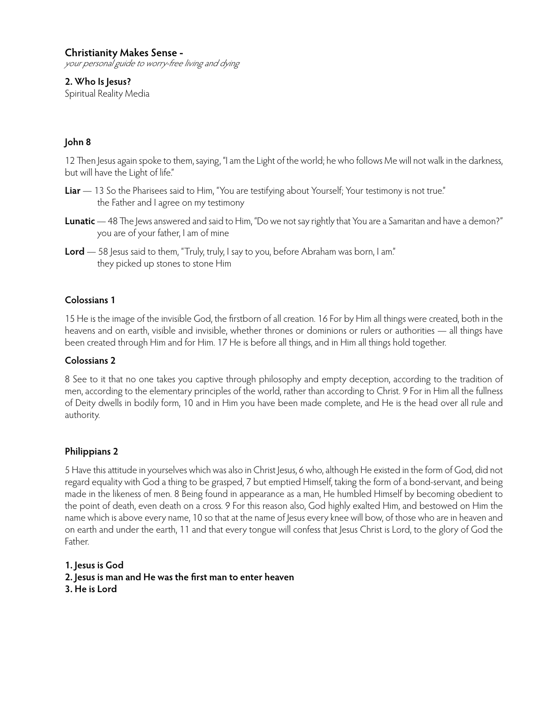your personal guide to worry-free living and dying

## **2. Who Is Jesus?**

Spiritual Reality Media

# **John 8**

12 Then Jesus again spoke to them, saying, "I am the Light of the world; he who follows Me will not walk in the darkness, but will have the Light of life."

- **Liar** 13 So the Pharisees said to Him, "You are testifying about Yourself; Your testimony is not true." the Father and I agree on my testimony
- **Lunatic** 48 The Jews answered and said to Him, "Do we not say rightly that You are a Samaritan and have a demon?" you are of your father, I am of mine
- **Lord** 58 Jesus said to them, "Truly, truly, I say to you, before Abraham was born, I am." they picked up stones to stone Him

## **Colossians 1**

15 He is the image of the invisible God, the firstborn of all creation. 16 For by Him all things were created, both in the heavens and on earth, visible and invisible, whether thrones or dominions or rulers or authorities — all things have been created through Him and for Him. 17 He is before all things, and in Him all things hold together.

## **Colossians 2**

8 See to it that no one takes you captive through philosophy and empty deception, according to the tradition of men, according to the elementary principles of the world, rather than according to Christ. 9 For in Him all the fullness of Deity dwells in bodily form, 10 and in Him you have been made complete, and He is the head over all rule and authority.

## **Philippians 2**

5 Have this attitude in yourselves which was also in Christ Jesus, 6 who, although He existed in the form of God, did not regard equality with God a thing to be grasped, 7 but emptied Himself, taking the form of a bond-servant, and being made in the likeness of men. 8 Being found in appearance as a man, He humbled Himself by becoming obedient to the point of death, even death on a cross. 9 For this reason also, God highly exalted Him, and bestowed on Him the name which is above every name, 10 so that at the name of Jesus every knee will bow, of those who are in heaven and on earth and under the earth, 11 and that every tongue will confess that Jesus Christ is Lord, to the glory of God the Father.

**1. Jesus is God**

**2. Jesus is man and He was the first man to enter heaven 3. He is Lord**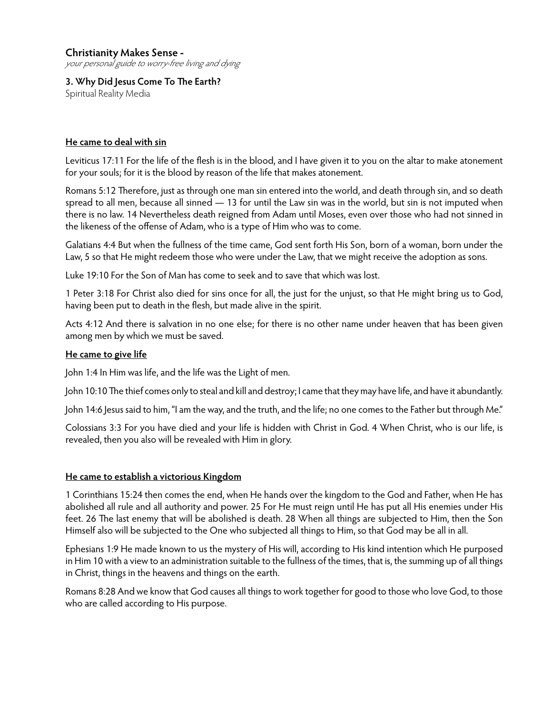your personal guide to worry-free living and dying

**3. Why Did Jesus Come To The Earth?** Spiritual Reality Media

### **He came to deal with sin**

Leviticus 17:11 For the life of the flesh is in the blood, and I have given it to you on the altar to make atonement for your souls; for it is the blood by reason of the life that makes atonement.

Romans 5:12 Therefore, just as through one man sin entered into the world, and death through sin, and so death spread to all men, because all sinned — 13 for until the Law sin was in the world, but sin is not imputed when there is no law. 14 Nevertheless death reigned from Adam until Moses, even over those who had not sinned in the likeness of the offense of Adam, who is a type of Him who was to come.

Galatians 4:4 But when the fullness of the time came, God sent forth His Son, born of a woman, born under the Law, 5 so that He might redeem those who were under the Law, that we might receive the adoption as sons.

Luke 19:10 For the Son of Man has come to seek and to save that which was lost.

1 Peter 3:18 For Christ also died for sins once for all, the just for the unjust, so that He might bring us to God, having been put to death in the flesh, but made alive in the spirit.

Acts 4:12 And there is salvation in no one else; for there is no other name under heaven that has been given among men by which we must be saved.

### **He came to give life**

John 1:4 In Him was life, and the life was the Light of men.

John 10:10 The thief comes only to steal and kill and destroy; I came that they may have life, and have it abundantly.

John 14:6 Jesus said to him, "I am the way, and the truth, and the life; no one comes to the Father but through Me."

Colossians 3:3 For you have died and your life is hidden with Christ in God. 4 When Christ, who is our life, is revealed, then you also will be revealed with Him in glory.

#### **He came to establish a victorious Kingdom**

1 Corinthians 15:24 then comes the end, when He hands over the kingdom to the God and Father, when He has abolished all rule and all authority and power. 25 For He must reign until He has put all His enemies under His feet. 26 The last enemy that will be abolished is death. 28 When all things are subjected to Him, then the Son Himself also will be subjected to the One who subjected all things to Him, so that God may be all in all.

Ephesians 1:9 He made known to us the mystery of His will, according to His kind intention which He purposed in Him 10 with a view to an administration suitable to the fullness of the times, that is, the summing up of all things in Christ, things in the heavens and things on the earth.

Romans 8:28 And we know that God causes all things to work together for good to those who love God, to those who are called according to His purpose.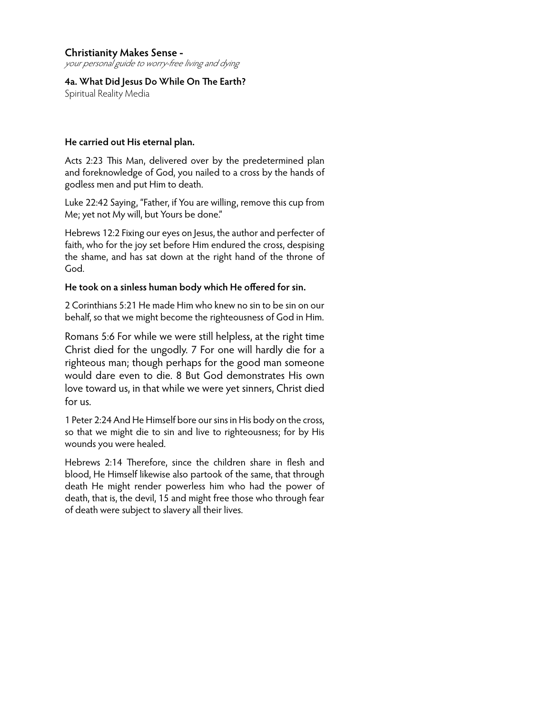your personal guide to worry-free living and dying

**4a. What Did Jesus Do While On The Earth?**  Spiritual Reality Media

### **He carried out His eternal plan.**

Acts 2:23 This Man, delivered over by the predetermined plan and foreknowledge of God, you nailed to a cross by the hands of godless men and put Him to death.

Luke 22:42 Saying, "Father, if You are willing, remove this cup from Me; yet not My will, but Yours be done."

Hebrews 12:2 Fixing our eyes on Jesus, the author and perfecter of faith, who for the joy set before Him endured the cross, despising the shame, and has sat down at the right hand of the throne of God.

## **He took on a sinless human body which He offered for sin.**

2 Corinthians 5:21 He made Him who knew no sin to be sin on our behalf, so that we might become the righteousness of God in Him.

Romans 5:6 For while we were still helpless, at the right time Christ died for the ungodly. 7 For one will hardly die for a righteous man; though perhaps for the good man someone would dare even to die. 8 But God demonstrates His own love toward us, in that while we were yet sinners, Christ died for us.

1 Peter 2:24 And He Himself bore our sins in His body on the cross, so that we might die to sin and live to righteousness; for by His wounds you were healed.

Hebrews 2:14 Therefore, since the children share in flesh and blood, He Himself likewise also partook of the same, that through death He might render powerless him who had the power of death, that is, the devil, 15 and might free those who through fear of death were subject to slavery all their lives.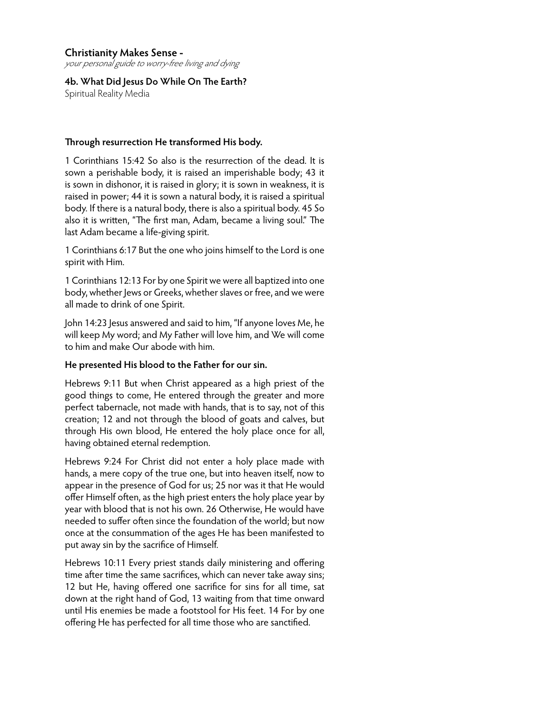your personal guide to worry-free living and dying

**4b. What Did Jesus Do While On The Earth?** Spiritual Reality Media

#### **Through resurrection He transformed His body.**

1 Corinthians 15:42 So also is the resurrection of the dead. It is sown a perishable body, it is raised an imperishable body; 43 it is sown in dishonor, it is raised in glory; it is sown in weakness, it is raised in power; 44 it is sown a natural body, it is raised a spiritual body. If there is a natural body, there is also a spiritual body. 45 So also it is written, "The first man, Adam, became a living soul." The last Adam became a life-giving spirit.

1 Corinthians 6:17 But the one who joins himself to the Lord is one spirit with Him.

1 Corinthians 12:13 For by one Spirit we were all baptized into one body, whether Jews or Greeks, whether slaves or free, and we were all made to drink of one Spirit.

John 14:23 Jesus answered and said to him, "If anyone loves Me, he will keep My word; and My Father will love him, and We will come to him and make Our abode with him.

#### **He presented His blood to the Father for our sin.**

Hebrews 9:11 But when Christ appeared as a high priest of the good things to come, He entered through the greater and more perfect tabernacle, not made with hands, that is to say, not of this creation; 12 and not through the blood of goats and calves, but through His own blood, He entered the holy place once for all, having obtained eternal redemption.

Hebrews 9:24 For Christ did not enter a holy place made with hands, a mere copy of the true one, but into heaven itself, now to appear in the presence of God for us; 25 nor was it that He would offer Himself often, as the high priest enters the holy place year by year with blood that is not his own. 26 Otherwise, He would have needed to suffer often since the foundation of the world; but now once at the consummation of the ages He has been manifested to put away sin by the sacrifice of Himself.

Hebrews 10:11 Every priest stands daily ministering and offering time after time the same sacrifices, which can never take away sins; 12 but He, having offered one sacrifice for sins for all time, sat down at the right hand of God, 13 waiting from that time onward until His enemies be made a footstool for His feet. 14 For by one offering He has perfected for all time those who are sanctified.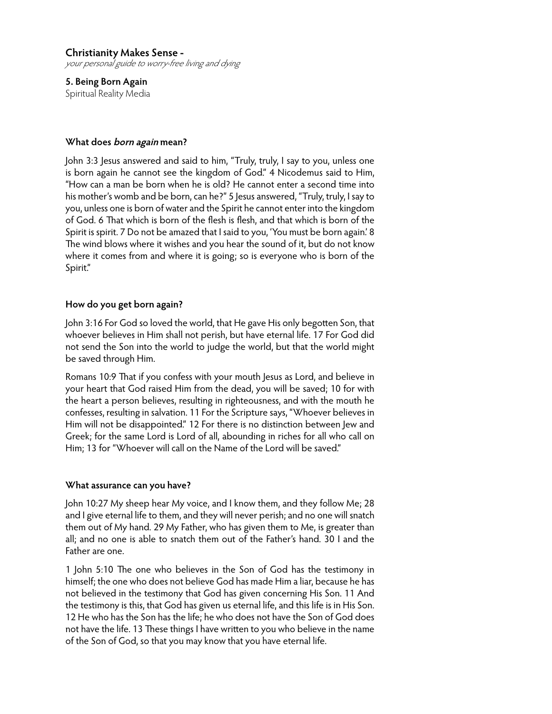**5. Being Born Again** Spiritual Reality Media

#### **What does born again mean?**

John 3:3 Jesus answered and said to him, "Truly, truly, I say to you, unless one is born again he cannot see the kingdom of God." 4 Nicodemus said to Him, "How can a man be born when he is old? He cannot enter a second time into his mother's womb and be born, can he?" 5 Jesus answered, "Truly, truly, I say to you, unless one is born of water and the Spirit he cannot enter into the kingdom of God. 6 That which is born of the flesh is flesh, and that which is born of the Spirit is spirit. 7 Do not be amazed that I said to you, 'You must be born again.' 8 The wind blows where it wishes and you hear the sound of it, but do not know where it comes from and where it is going; so is everyone who is born of the Spirit."

#### **How do you get born again?**

John 3:16 For God so loved the world, that He gave His only begotten Son, that whoever believes in Him shall not perish, but have eternal life. 17 For God did not send the Son into the world to judge the world, but that the world might be saved through Him.

Romans 10:9 That if you confess with your mouth Jesus as Lord, and believe in your heart that God raised Him from the dead, you will be saved; 10 for with the heart a person believes, resulting in righteousness, and with the mouth he confesses, resulting in salvation. 11 For the Scripture says, "Whoever believes in Him will not be disappointed." 12 For there is no distinction between Jew and Greek; for the same Lord is Lord of all, abounding in riches for all who call on Him; 13 for "Whoever will call on the Name of the Lord will be saved."

#### **What assurance can you have?**

John 10:27 My sheep hear My voice, and I know them, and they follow Me; 28 and I give eternal life to them, and they will never perish; and no one will snatch them out of My hand. 29 My Father, who has given them to Me, is greater than all; and no one is able to snatch them out of the Father's hand. 30 I and the Father are one.

1 John 5:10 The one who believes in the Son of God has the testimony in himself; the one who does not believe God has made Him a liar, because he has not believed in the testimony that God has given concerning His Son. 11 And the testimony is this, that God has given us eternal life, and this life is in His Son. 12 He who has the Son has the life; he who does not have the Son of God does not have the life. 13 These things I have written to you who believe in the name of the Son of God, so that you may know that you have eternal life.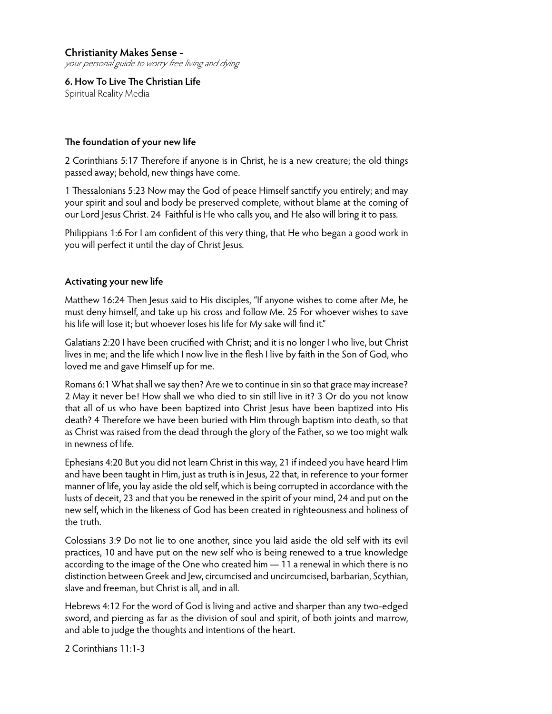**6. How To Live The Christian Life** Spiritual Reality Media

## **The foundation of your new life**

2 Corinthians 5:17 Therefore if anyone is in Christ, he is a new creature; the old things passed away; behold, new things have come.

1 Thessalonians 5:23 Now may the God of peace Himself sanctify you entirely; and may your spirit and soul and body be preserved complete, without blame at the coming of our Lord Jesus Christ. 24 Faithful is He who calls you, and He also will bring it to pass.

Philippians 1:6 For I am confident of this very thing, that He who began a good work in you will perfect it until the day of Christ Jesus.

## **Activating your new life**

Matthew 16:24 Then Jesus said to His disciples, "If anyone wishes to come after Me, he must deny himself, and take up his cross and follow Me. 25 For whoever wishes to save his life will lose it; but whoever loses his life for My sake will find it."

Galatians 2:20 I have been crucified with Christ; and it is no longer I who live, but Christ lives in me; and the life which I now live in the flesh I live by faith in the Son of God, who loved me and gave Himself up for me.

Romans 6:1 What shall we say then? Are we to continue in sin so that grace may increase? 2 May it never be! How shall we who died to sin still live in it? 3 Or do you not know that all of us who have been baptized into Christ Jesus have been baptized into His death? 4 Therefore we have been buried with Him through baptism into death, so that as Christ was raised from the dead through the glory of the Father, so we too might walk in newness of life.

Ephesians 4:20 But you did not learn Christ in this way, 21 if indeed you have heard Him and have been taught in Him, just as truth is in Jesus, 22 that, in reference to your former manner of life, you lay aside the old self, which is being corrupted in accordance with the lusts of deceit, 23 and that you be renewed in the spirit of your mind, 24 and put on the new self, which in the likeness of God has been created in righteousness and holiness of the truth.

Colossians 3:9 Do not lie to one another, since you laid aside the old self with its evil practices, 10 and have put on the new self who is being renewed to a true knowledge according to the image of the One who created him — 11 a renewal in which there is no distinction between Greek and Jew, circumcised and uncircumcised, barbarian, Scythian, slave and freeman, but Christ is all, and in all.

Hebrews 4:12 For the word of God is living and active and sharper than any two-edged sword, and piercing as far as the division of soul and spirit, of both joints and marrow, and able to judge the thoughts and intentions of the heart.

2 Corinthians 11:1-3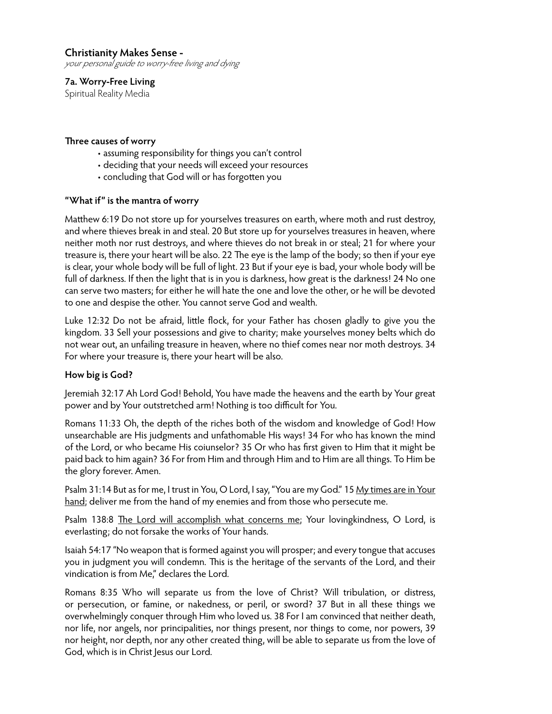your personal guide to worry-free living and dying

**7a. Worry-Free Living** Spiritual Reality Media

#### **Three causes of worry**

- assuming responsibility for things you can't control
- deciding that your needs will exceed your resources
- concluding that God will or has forgotten you

#### **"What if" is the mantra of worry**

Matthew 6:19 Do not store up for yourselves treasures on earth, where moth and rust destroy, and where thieves break in and steal. 20 But store up for yourselves treasures in heaven, where neither moth nor rust destroys, and where thieves do not break in or steal; 21 for where your treasure is, there your heart will be also. 22 The eye is the lamp of the body; so then if your eye is clear, your whole body will be full of light. 23 But if your eye is bad, your whole body will be full of darkness. If then the light that is in you is darkness, how great is the darkness! 24 No one can serve two masters; for either he will hate the one and love the other, or he will be devoted to one and despise the other. You cannot serve God and wealth.

Luke 12:32 Do not be afraid, little flock, for your Father has chosen gladly to give you the kingdom. 33 Sell your possessions and give to charity; make yourselves money belts which do not wear out, an unfailing treasure in heaven, where no thief comes near nor moth destroys. 34 For where your treasure is, there your heart will be also.

#### **How big is God?**

Jeremiah 32:17 Ah Lord God! Behold, You have made the heavens and the earth by Your great power and by Your outstretched arm! Nothing is too difficult for You.

Romans 11:33 Oh, the depth of the riches both of the wisdom and knowledge of God! How unsearchable are His judgments and unfathomable His ways! 34 For who has known the mind of the Lord, or who became His coiunselor? 35 Or who has first given to Him that it might be paid back to him again? 36 For from Him and through Him and to Him are all things. To Him be the glory forever. Amen.

Psalm 31:14 But as for me, I trust in You, O Lord, I say, "You are my God." 15 My times are in Your hand; deliver me from the hand of my enemies and from those who persecute me.

Psalm 138:8 The Lord will accomplish what concerns me; Your lovingkindness, O Lord, is everlasting; do not forsake the works of Your hands.

Isaiah 54:17 "No weapon that is formed against you will prosper; and every tongue that accuses you in judgment you will condemn. This is the heritage of the servants of the Lord, and their vindication is from Me," declares the Lord.

Romans 8:35 Who will separate us from the love of Christ? Will tribulation, or distress, or persecution, or famine, or nakedness, or peril, or sword? 37 But in all these things we overwhelmingly conquer through Him who loved us. 38 For I am convinced that neither death, nor life, nor angels, nor principalities, nor things present, nor things to come, nor powers, 39 nor height, nor depth, nor any other created thing, will be able to separate us from the love of God, which is in Christ Jesus our Lord.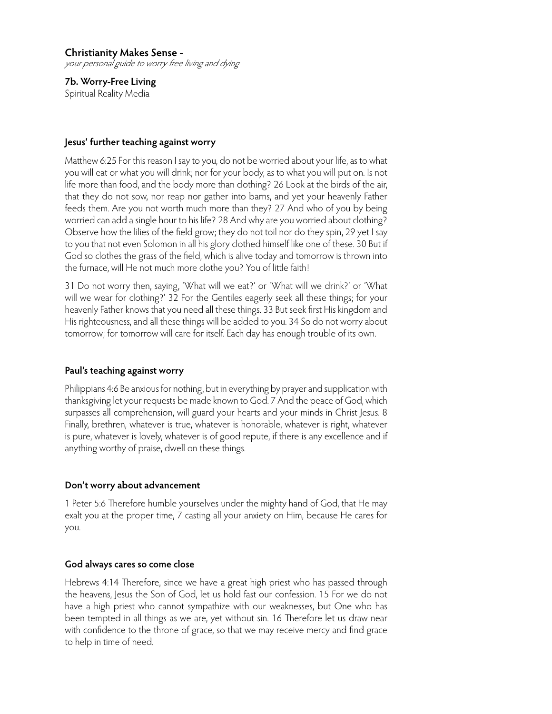**7b. Worry-Free Living** Spiritual Reality Media

## **Jesus' further teaching against worry**

Matthew 6:25 For this reason I say to you, do not be worried about your life, as to what you will eat or what you will drink; nor for your body, as to what you will put on. Is not life more than food, and the body more than clothing? 26 Look at the birds of the air, that they do not sow, nor reap nor gather into barns, and yet your heavenly Father feeds them. Are you not worth much more than they? 27 And who of you by being worried can add a single hour to his life? 28 And why are you worried about clothing? Observe how the lilies of the field grow; they do not toil nor do they spin, 29 yet I say to you that not even Solomon in all his glory clothed himself like one of these. 30 But if God so clothes the grass of the field, which is alive today and tomorrow is thrown into the furnace, will He not much more clothe you? You of little faith!

31 Do not worry then, saying, 'What will we eat?' or 'What will we drink?' or 'What will we wear for clothing?' 32 For the Gentiles eagerly seek all these things; for your heavenly Father knows that you need all these things. 33 But seek first His kingdom and His righteousness, and all these things will be added to you. 34 So do not worry about tomorrow; for tomorrow will care for itself. Each day has enough trouble of its own.

## **Paul's teaching against worry**

Philippians 4:6 Be anxious for nothing, but in everything by prayer and supplication with thanksgiving let your requests be made known to God. 7 And the peace of God, which surpasses all comprehension, will guard your hearts and your minds in Christ Jesus. 8 Finally, brethren, whatever is true, whatever is honorable, whatever is right, whatever is pure, whatever is lovely, whatever is of good repute, if there is any excellence and if anything worthy of praise, dwell on these things.

## **Don't worry about advancement**

1 Peter 5:6 Therefore humble yourselves under the mighty hand of God, that He may exalt you at the proper time, 7 casting all your anxiety on Him, because He cares for you.

## **God always cares so come close**

Hebrews 4:14 Therefore, since we have a great high priest who has passed through the heavens, Jesus the Son of God, let us hold fast our confession. 15 For we do not have a high priest who cannot sympathize with our weaknesses, but One who has been tempted in all things as we are, yet without sin. 16 Therefore let us draw near with confidence to the throne of grace, so that we may receive mercy and find grace to help in time of need.